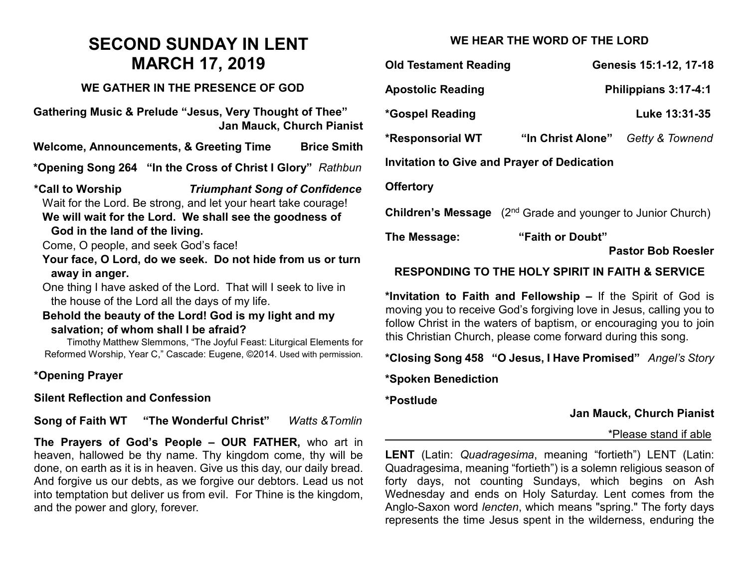# **SECOND SUNDAY IN LENT MARCH 17, 2019**

#### **WE GATHER IN THE PRESENCE OF GOD**

**Gathering Music & Prelude "Jesus, Very Thought of Thee" Jan Mauck, Church Pianist**

**Welcome, Announcements, & Greeting Time Brice Smith**

**\*Opening Song 264 "In the Cross of Christ I Glory"** *Rathbun*

**\*Call to Worship** *Triumphant Song of Confidence* Wait for the Lord. Be strong, and let your heart take courage!

## **We will wait for the Lord. We shall see the goodness of God in the land of the living.**

Come, O people, and seek God's face!

**Your face, O Lord, do we seek. Do not hide from us or turn away in anger.**

One thing I have asked of the Lord. That will I seek to live in the house of the Lord all the days of my life.

#### **Behold the beauty of the Lord! God is my light and my salvation; of whom shall I be afraid?**

Timothy Matthew Slemmons, "The Joyful Feast: Liturgical Elements for Reformed Worship, Year C," Cascade: Eugene, ©2014. Used with permission.

# **\*Opening Prayer**

## **Silent Reflection and Confession**

**Song of Faith WT "The Wonderful Christ"** *Watts &Tomlin*

**The Prayers of God's People – OUR FATHER,** who art in heaven, hallowed be thy name. Thy kingdom come, thy will be done, on earth as it is in heaven. Give us this day, our daily bread. And forgive us our debts, as we forgive our debtors. Lead us not into temptation but deliver us from evil. For Thine is the kingdom, and the power and glory, forever.

# **WE HEAR THE WORD OF THE LORD**

| <b>Old Testament Reading</b>                |                                                      | Genesis 15:1-12, 17-18 |
|---------------------------------------------|------------------------------------------------------|------------------------|
| <b>Apostolic Reading</b>                    | Philippians 3:17-4:1                                 |                        |
| <i>*</i> Gospel Reading                     |                                                      | Luke 13:31-35          |
| *Responsorial WT                            | "In Christ Alone" Getty & Townend                    |                        |
| Invitation to Give and Prayer of Dedication |                                                      |                        |
| <b>Offertory</b>                            |                                                      |                        |
| <b>Children's Message</b>                   | (2 <sup>nd</sup> Grade and younger to Junior Church) |                        |

**The Message: "Faith or Doubt"**

**Pastor Bob Roesler** 

#### **RESPONDING TO THE HOLY SPIRIT IN FAITH & SERVICE**

**\*Invitation to Faith and Fellowship –** If the Spirit of God is moving you to receive God's forgiving love in Jesus, calling you to follow Christ in the waters of baptism, or encouraging you to join this Christian Church, please come forward during this song.

**\*Closing Song 458 "O Jesus, I Have Promised"** *Angel's Story*

**\*Spoken Benediction**

**\*Postlude** 

## **Jan Mauck, Church Pianist**

#### \*Please stand if able

**LENT** (Latin: *Quadragesima*, meaning "fortieth") LENT (Latin: Quadragesima, meaning "fortieth") is a solemn religious season of forty days, not counting Sundays, which begins on Ash Wednesday and ends on Holy Saturday. Lent comes from the Anglo-Saxon word *lencten*, which means "spring." The forty days represents the time Jesus spent in the wilderness, enduring the